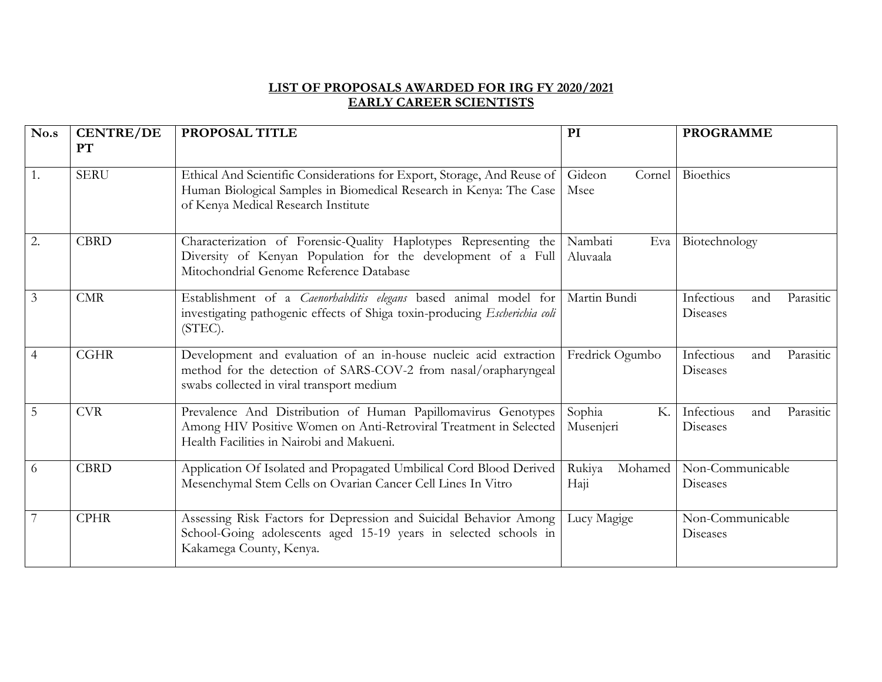## **LIST OF PROPOSALS AWARDED FOR IRG FY 2020/2021 EARLY CAREER SCIENTISTS**

| No.s             | <b>CENTRE/DE</b><br>PT | PROPOSAL TITLE                                                                                                                                                                       | <b>PROGRAMME</b><br>PI     |                                            |  |
|------------------|------------------------|--------------------------------------------------------------------------------------------------------------------------------------------------------------------------------------|----------------------------|--------------------------------------------|--|
| $\overline{1}$ . | <b>SERU</b>            | Ethical And Scientific Considerations for Export, Storage, And Reuse of<br>Human Biological Samples in Biomedical Research in Kenya: The Case<br>of Kenya Medical Research Institute | Gideon<br>Cornel<br>Msee   | <b>Bioethics</b>                           |  |
| <sup>2</sup> .   | <b>CBRD</b>            | Characterization of Forensic-Quality Haplotypes Representing the<br>Diversity of Kenyan Population for the development of a Full<br>Mitochondrial Genome Reference Database          | Nambati<br>Eva<br>Aluvaala | Biotechnology                              |  |
| $\overline{3}$   | CMR                    | Establishment of a <i>Caenorhabditis elegans</i> based animal model for<br>investigating pathogenic effects of Shiga toxin-producing Escherichia coli<br>$(STEC)$ .                  | Martin Bundi               | Infectious<br>Parasitic<br>and<br>Diseases |  |
| $\overline{4}$   | <b>CGHR</b>            | Development and evaluation of an in-house nucleic acid extraction<br>method for the detection of SARS-COV-2 from nasal/orapharyngeal<br>swabs collected in viral transport medium    | Fredrick Ogumbo            | Infectious<br>Parasitic<br>and<br>Diseases |  |
| $\overline{5}$   | <b>CVR</b>             | Prevalence And Distribution of Human Papillomavirus Genotypes<br>Among HIV Positive Women on Anti-Retroviral Treatment in Selected<br>Health Facilities in Nairobi and Makueni.      | Sophia<br>Κ.<br>Musenjeri  | Infectious<br>Parasitic<br>and<br>Diseases |  |
| 6                | <b>CBRD</b>            | Application Of Isolated and Propagated Umbilical Cord Blood Derived<br>Mesenchymal Stem Cells on Ovarian Cancer Cell Lines In Vitro                                                  | Rukiya<br>Mohamed<br>Haji  | Non-Communicable<br>Diseases               |  |
| $\overline{7}$   | <b>CPHR</b>            | Assessing Risk Factors for Depression and Suicidal Behavior Among<br>School-Going adolescents aged 15-19 years in selected schools in<br>Kakamega County, Kenya.                     | Lucy Magige                | Non-Communicable<br>Diseases               |  |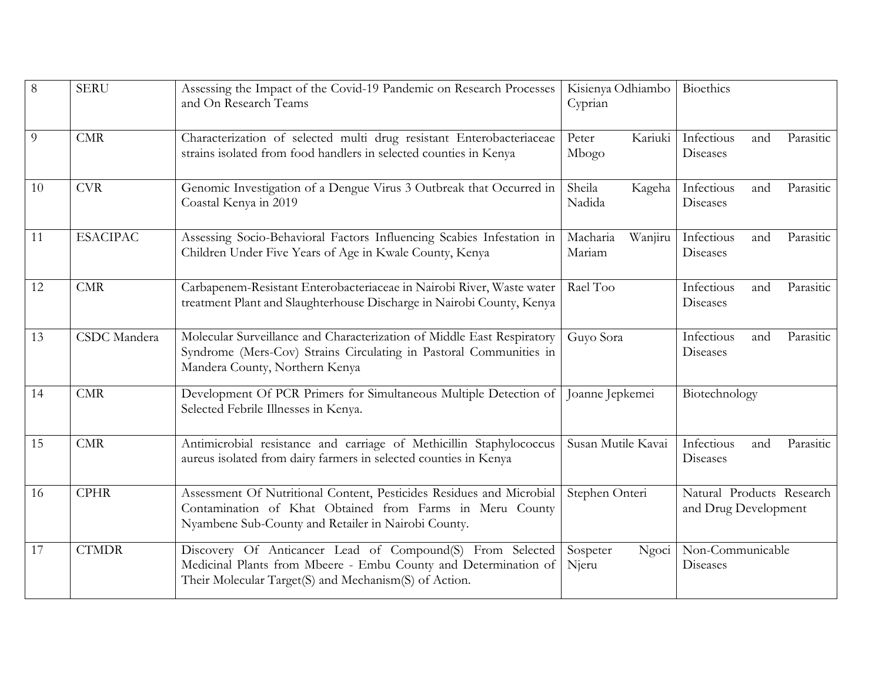| $\,8\,$ | <b>SERU</b>         | Assessing the Impact of the Covid-19 Pandemic on Research Processes<br>and On Research Teams                                                                                            | Kisienya Odhiambo<br>Cyprian  | Bioethics                                         |  |
|---------|---------------------|-----------------------------------------------------------------------------------------------------------------------------------------------------------------------------------------|-------------------------------|---------------------------------------------------|--|
| 9       | CMR                 | Characterization of selected multi drug resistant Enterobacteriaceae<br>strains isolated from food handlers in selected counties in Kenya                                               | Kariuki<br>Peter<br>Mbogo     | Infectious<br>Parasitic<br>and<br>Diseases        |  |
| 10      | <b>CVR</b>          | Genomic Investigation of a Dengue Virus 3 Outbreak that Occurred in<br>Coastal Kenya in 2019                                                                                            | Sheila<br>Kageha<br>Nadida    | Infectious<br>Parasitic<br>and<br><b>Diseases</b> |  |
| 11      | <b>ESACIPAC</b>     | Assessing Socio-Behavioral Factors Influencing Scabies Infestation in<br>Children Under Five Years of Age in Kwale County, Kenya                                                        | Wanjiru<br>Macharia<br>Mariam | Infectious<br>Parasitic<br>and<br>Diseases        |  |
| 12      | CMR                 | Carbapenem-Resistant Enterobacteriaceae in Nairobi River, Waste water<br>treatment Plant and Slaughterhouse Discharge in Nairobi County, Kenya                                          | Rael Too                      | Infectious<br>Parasitic<br>and<br>Diseases        |  |
| 13      | <b>CSDC</b> Mandera | Molecular Surveillance and Characterization of Middle East Respiratory<br>Syndrome (Mers-Cov) Strains Circulating in Pastoral Communities in<br>Mandera County, Northern Kenya          | Guyo Sora                     | Infectious<br>and<br>Parasitic<br>Diseases        |  |
| 14      | CMR                 | Development Of PCR Primers for Simultaneous Multiple Detection of<br>Selected Febrile Illnesses in Kenya.                                                                               | Joanne Jepkemei               | Biotechnology                                     |  |
| 15      | CMR                 | Antimicrobial resistance and carriage of Methicillin Staphylococcus<br>aureus isolated from dairy farmers in selected counties in Kenya                                                 | Susan Mutile Kavai            | Infectious<br>Parasitic<br>and<br><b>Diseases</b> |  |
| 16      | <b>CPHR</b>         | Assessment Of Nutritional Content, Pesticides Residues and Microbial<br>Contamination of Khat Obtained from Farms in Meru County<br>Nyambene Sub-County and Retailer in Nairobi County. | Stephen Onteri                | Natural Products Research<br>and Drug Development |  |
| 17      | <b>CTMDR</b>        | Discovery Of Anticancer Lead of Compound(S) From Selected<br>Medicinal Plants from Mbeere - Embu County and Determination of<br>Their Molecular Target(S) and Mechanism(S) of Action.   | Sospeter<br>Ngoci<br>Njeru    | Non-Communicable<br>Diseases                      |  |